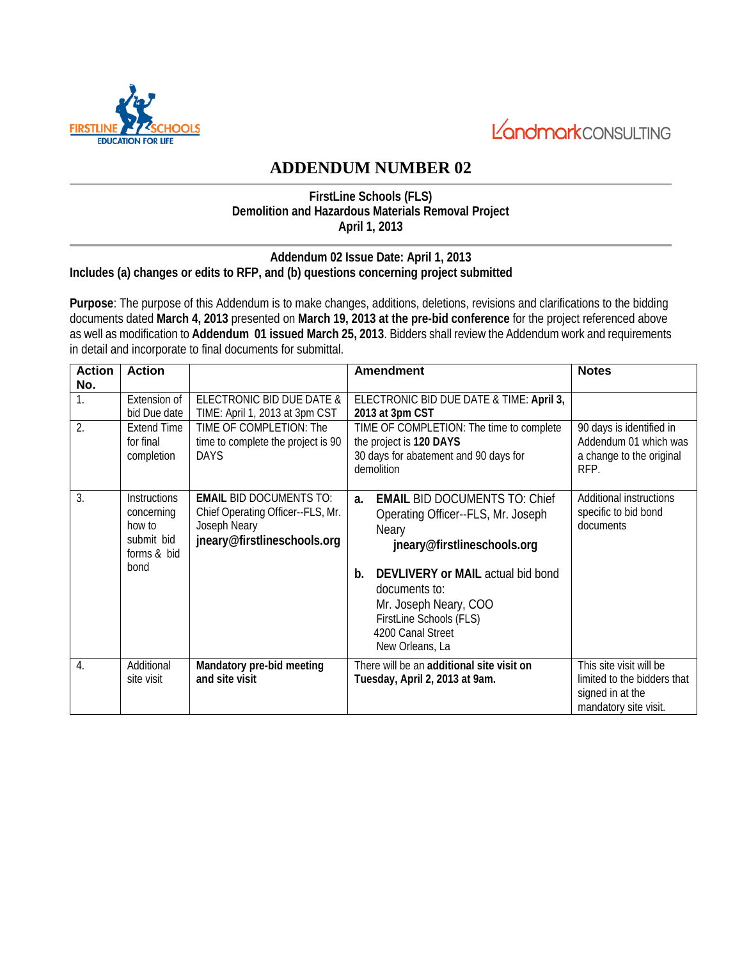



# **ADDENDUM NUMBER 02**

### **FirstLine Schools (FLS) Demolition and Hazardous Materials Removal Project April 1, 2013**

### **Addendum 02 Issue Date: April 1, 2013 Includes (a) changes or edits to RFP, and (b) questions concerning project submitted**

**Purpose**: The purpose of this Addendum is to make changes, additions, deletions, revisions and clarifications to the bidding documents dated **March 4, 2013** presented on **March 19, 2013 at the pre-bid conference** for the project referenced above as well as modification to **Addendum 01 issued March 25, 2013**. Bidders shall review the Addendum work and requirements in detail and incorporate to final documents for submittal.

| <b>Action</b>    | <b>Action</b>                                                                    |                                                                                                                                             | <b>Amendment</b>                                                                                                                                                                                                                                                                        | <b>Notes</b>                                                                                        |
|------------------|----------------------------------------------------------------------------------|---------------------------------------------------------------------------------------------------------------------------------------------|-----------------------------------------------------------------------------------------------------------------------------------------------------------------------------------------------------------------------------------------------------------------------------------------|-----------------------------------------------------------------------------------------------------|
| No.<br>1.<br>2.  | Extension of<br>bid Due date<br><b>Extend Time</b><br>for final<br>completion    | ELECTRONIC BID DUE DATE &<br>TIME: April 1, 2013 at 3pm CST<br>TIME OF COMPLETION: The<br>time to complete the project is 90<br><b>DAYS</b> | ELECTRONIC BID DUE DATE & TIME: April 3,<br>2013 at 3pm CST<br>TIME OF COMPLETION: The time to complete<br>the project is 120 DAYS<br>30 days for abatement and 90 days for<br>demolition                                                                                               | 90 days is identified in<br>Addendum 01 which was<br>a change to the original<br>RFP.               |
| 3.               | <b>Instructions</b><br>concerning<br>how to<br>submit bid<br>forms & bid<br>bond | <b>EMAIL BID DOCUMENTS TO:</b><br>Chief Operating Officer--FLS, Mr.<br>Joseph Neary<br>jneary@firstlineschools.org                          | <b>EMAIL BID DOCUMENTS TO: Chief</b><br>a.<br>Operating Officer--FLS, Mr. Joseph<br><b>Neary</b><br>jneary@firstlineschools.org<br>DEVLIVERY or MAIL actual bid bond<br>b.<br>documents to:<br>Mr. Joseph Neary, COO<br>FirstLine Schools (FLS)<br>4200 Canal Street<br>New Orleans, La | Additional instructions<br>specific to bid bond<br>documents                                        |
| $\overline{4}$ . | Additional<br>site visit                                                         | Mandatory pre-bid meeting<br>and site visit                                                                                                 | There will be an additional site visit on<br>Tuesday, April 2, 2013 at 9am.                                                                                                                                                                                                             | This site visit will be<br>limited to the bidders that<br>signed in at the<br>mandatory site visit. |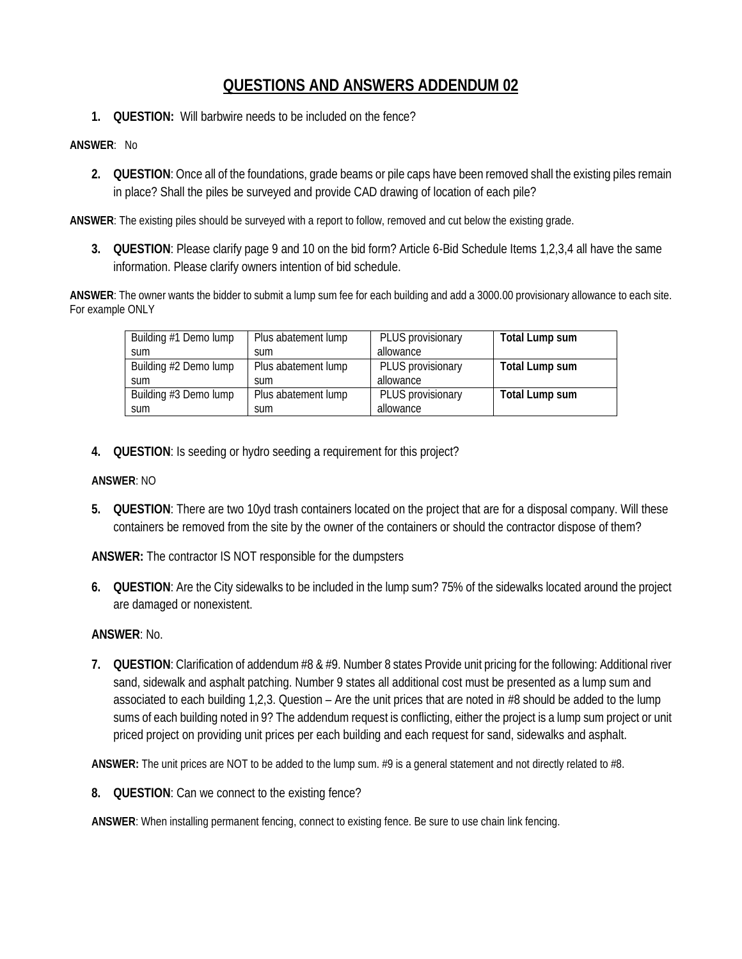# **QUESTIONS AND ANSWERS ADDENDUM 02**

**1. QUESTION:** Will barbwire needs to be included on the fence?

#### **ANSWER**: No

**2. QUESTION**: Once all of the foundations, grade beams or pile caps have been removed shall the existing piles remain in place? Shall the piles be surveyed and provide CAD drawing of location of each pile?

**ANSWER**: The existing piles should be surveyed with a report to follow, removed and cut below the existing grade.

**3. QUESTION**: Please clarify page 9 and 10 on the bid form? Article 6-Bid Schedule Items 1,2,3,4 all have the same information. Please clarify owners intention of bid schedule.

**ANSWER**: The owner wants the bidder to submit a lump sum fee for each building and add a 3000.00 provisionary allowance to each site. For example ONLY

| Building #1 Demo lump | Plus abatement lump | PLUS provisionary | Total Lump sum |
|-----------------------|---------------------|-------------------|----------------|
| sum                   | <b>Sum</b>          | allowance         |                |
| Building #2 Demo lump | Plus abatement lump | PLUS provisionary | Total Lump sum |
| sum                   | sum                 | allowance         |                |
| Building #3 Demo lump | Plus abatement lump | PLUS provisionary | Total Lump sum |
| sum                   | <b>Sum</b>          | allowance         |                |

**4. QUESTION**: Is seeding or hydro seeding a requirement for this project?

## **ANSWER**: NO

**5. QUESTION**: There are two 10yd trash containers located on the project that are for a disposal company. Will these containers be removed from the site by the owner of the containers or should the contractor dispose of them?

**ANSWER:** The contractor IS NOT responsible for the dumpsters

**6. QUESTION**: Are the City sidewalks to be included in the lump sum? 75% of the sidewalks located around the project are damaged or nonexistent.

# **ANSWER**: No.

**7. QUESTION**: Clarification of addendum #8 & #9. Number 8 states Provide unit pricing for the following: Additional river sand, sidewalk and asphalt patching. Number 9 states all additional cost must be presented as a lump sum and associated to each building 1,2,3. Question – Are the unit prices that are noted in #8 should be added to the lump sums of each building noted in 9? The addendum request is conflicting, either the project is a lump sum project or unit priced project on providing unit prices per each building and each request for sand, sidewalks and asphalt.

**ANSWER:** The unit prices are NOT to be added to the lump sum. #9 is a general statement and not directly related to #8.

**8. QUESTION**: Can we connect to the existing fence?

**ANSWER**: When installing permanent fencing, connect to existing fence. Be sure to use chain link fencing.